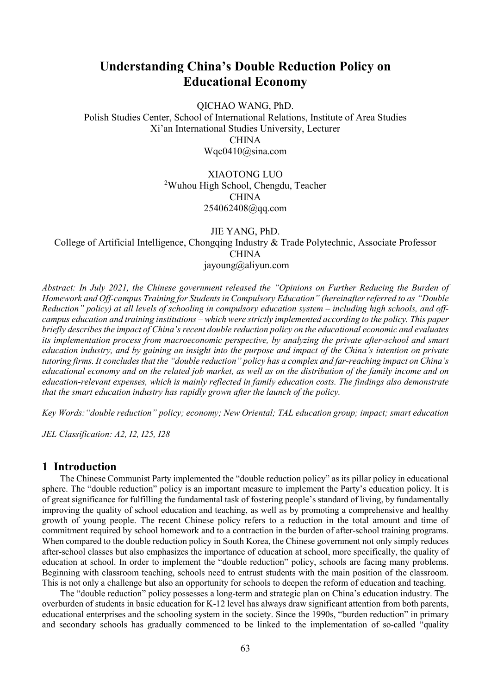# Understanding China's Double Reduction Policy on Educational Economy

QICHAO WANG, PhD.

Polish Studies Center, School of International Relations, Institute of Area Studies Xi'an International Studies University, Lecturer CHINA Wqc0410@sina.com

> XIAOTONG LUO <sup>2</sup>Wuhou High School, Chengdu, Teacher CHINA 254062408@qq.com

> > JIE YANG, PhD.

College of Artificial Intelligence, Chongqing Industry & Trade Polytechnic, Associate Professor CHINA jayoung@aliyun.com

Abstract: In July 2021, the Chinese government released the "Opinions on Further Reducing the Burden of Homework and Off-campus Training for Students in Compulsory Education" (hereinafter referred to as "Double Reduction" policy) at all levels of schooling in compulsory education system – including high schools, and offcampus education and training institutions – which were strictly implemented according to the policy. This paper briefly describes the impact of China's recent double reduction policy on the educational economic and evaluates its implementation process from macroeconomic perspective, by analyzing the private after-school and smart education industry, and by gaining an insight into the purpose and impact of the China's intention on private tutoring firms. It concludes that the "double reduction" policy has a complex and far-reaching impact on China's educational economy and on the related job market, as well as on the distribution of the family income and on education-relevant expenses, which is mainly reflected in family education costs. The findings also demonstrate that the smart education industry has rapidly grown after the launch of the policy.

Key Words:"double reduction" policy; economy; New Oriental; TAL education group; impact; smart education

JEL Classification: A2, I2, I25, I28

### 1 Introduction

The Chinese Communist Party implemented the "double reduction policy" as its pillar policy in educational sphere. The "double reduction" policy is an important measure to implement the Party's education policy. It is of great significance for fulfilling the fundamental task of fostering people's standard of living, by fundamentally improving the quality of school education and teaching, as well as by promoting a comprehensive and healthy growth of young people. The recent Chinese policy refers to a reduction in the total amount and time of commitment required by school homework and to a contraction in the burden of after-school training programs. When compared to the double reduction policy in South Korea, the Chinese government not only simply reduces after-school classes but also emphasizes the importance of education at school, more specifically, the quality of education at school. In order to implement the "double reduction" policy, schools are facing many problems. Beginning with classroom teaching, schools need to entrust students with the main position of the classroom. This is not only a challenge but also an opportunity for schools to deepen the reform of education and teaching.

The "double reduction" policy possesses a long-term and strategic plan on China's education industry. The overburden of students in basic education for K-12 level has always draw significant attention from both parents, educational enterprises and the schooling system in the society. Since the 1990s, "burden reduction" in primary and secondary schools has gradually commenced to be linked to the implementation of so-called "quality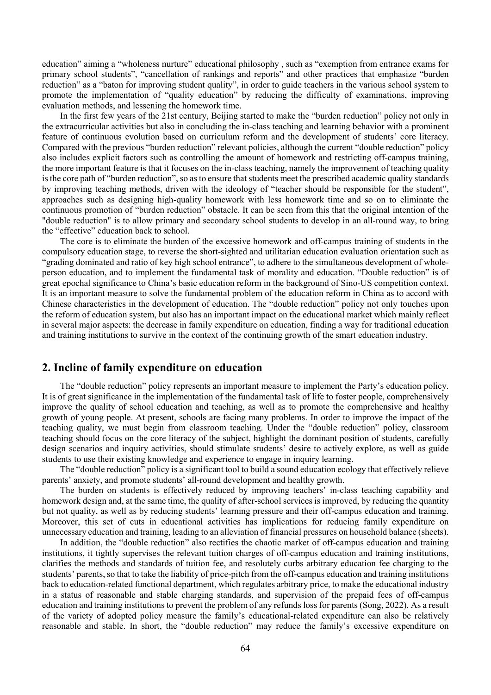education" aiming a "wholeness nurture" educational philosophy , such as "exemption from entrance exams for primary school students", "cancellation of rankings and reports" and other practices that emphasize "burden reduction" as a "baton for improving student quality", in order to guide teachers in the various school system to promote the implementation of "quality education" by reducing the difficulty of examinations, improving evaluation methods, and lessening the homework time.

In the first few years of the 21st century, Beijing started to make the "burden reduction" policy not only in the extracurricular activities but also in concluding the in-class teaching and learning behavior with a prominent feature of continuous evolution based on curriculum reform and the development of students' core literacy. Compared with the previous "burden reduction" relevant policies, although the current "double reduction" policy also includes explicit factors such as controlling the amount of homework and restricting off-campus training, the more important feature is that it focuses on the in-class teaching, namely the improvement of teaching quality is the core path of "burden reduction", so as to ensure that students meet the prescribed academic quality standards by improving teaching methods, driven with the ideology of "teacher should be responsible for the student", approaches such as designing high-quality homework with less homework time and so on to eliminate the continuous promotion of "burden reduction" obstacle. It can be seen from this that the original intention of the "double reduction" is to allow primary and secondary school students to develop in an all-round way, to bring the "effective" education back to school.

The core is to eliminate the burden of the excessive homework and off-campus training of students in the compulsory education stage, to reverse the short-sighted and utilitarian education evaluation orientation such as "grading dominated and ratio of key high school entrance", to adhere to the simultaneous development of wholeperson education, and to implement the fundamental task of morality and education. "Double reduction" is of great epochal significance to China's basic education reform in the background of Sino-US competition context. It is an important measure to solve the fundamental problem of the education reform in China as to accord with Chinese characteristics in the development of education. The "double reduction" policy not only touches upon the reform of education system, but also has an important impact on the educational market which mainly reflect in several major aspects: the decrease in family expenditure on education, finding a way for traditional education and training institutions to survive in the context of the continuing growth of the smart education industry.

#### 2. Incline of family expenditure on education

The "double reduction" policy represents an important measure to implement the Party's education policy. It is of great significance in the implementation of the fundamental task of life to foster people, comprehensively improve the quality of school education and teaching, as well as to promote the comprehensive and healthy growth of young people. At present, schools are facing many problems. In order to improve the impact of the teaching quality, we must begin from classroom teaching. Under the "double reduction" policy, classroom teaching should focus on the core literacy of the subject, highlight the dominant position of students, carefully design scenarios and inquiry activities, should stimulate students' desire to actively explore, as well as guide students to use their existing knowledge and experience to engage in inquiry learning.

The "double reduction" policy is a significant tool to build a sound education ecology that effectively relieve parents' anxiety, and promote students' all-round development and healthy growth.

The burden on students is effectively reduced by improving teachers' in-class teaching capability and homework design and, at the same time, the quality of after-school services is improved, by reducing the quantity but not quality, as well as by reducing students' learning pressure and their off-campus education and training. Moreover, this set of cuts in educational activities has implications for reducing family expenditure on unnecessary education and training, leading to an alleviation of financial pressures on household balance (sheets).

In addition, the "double reduction" also rectifies the chaotic market of off-campus education and training institutions, it tightly supervises the relevant tuition charges of off-campus education and training institutions, clarifies the methods and standards of tuition fee, and resolutely curbs arbitrary education fee charging to the students' parents, so that to take the liability of price-pitch from the off-campus education and training institutions back to education-related functional department, which regulates arbitrary price, to make the educational industry in a status of reasonable and stable charging standards, and supervision of the prepaid fees of off-campus education and training institutions to prevent the problem of any refunds loss for parents (Song, 2022). As a result of the variety of adopted policy measure the family's educational-related expenditure can also be relatively reasonable and stable. In short, the "double reduction" may reduce the family's excessive expenditure on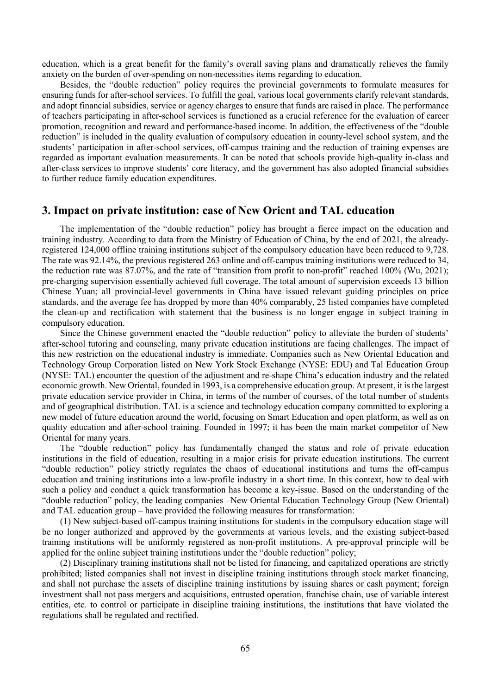education, which is a great benefit for the family's overall saving plans and dramatically relieves the family anxiety on the burden of over-spending on non-necessities items regarding to education.

Besides, the "double reduction" policy requires the provincial governments to formulate measures for ensuring funds for after-school services. To fulfill the goal, various local governments clarify relevant standards, and adopt financial subsidies, service or agency charges to ensure that funds are raised in place. The performance of teachers participating in after-school services is functioned as a crucial reference for the evaluation of career promotion, recognition and reward and performance-based income. In addition, the effectiveness of the "double reduction" is included in the quality evaluation of compulsory education in county-level school system, and the students' participation in after-school services, off-campus training and the reduction of training expenses are regarded as important evaluation measurements. It can be noted that schools provide high-quality in-class and after-class services to improve students' core literacy, and the government has also adopted financial subsidies to further reduce family education expenditures.

#### 3. Impact on private institution: case of New Orient and TAL education

The implementation of the "double reduction" policy has brought a fierce impact on the education and training industry. According to data from the Ministry of Education of China, by the end of 2021, the alreadyregistered 124,000 offline training institutions subject of the compulsory education have been reduced to 9,728. The rate was 92.14%, the previous registered 263 online and off-campus training institutions were reduced to 34, the reduction rate was 87.07%, and the rate of "transition from profit to non-profit" reached 100% (Wu, 2021); pre-charging supervision essentially achieved full coverage. The total amount of supervision exceeds 13 billion Chinese Yuan; all provincial-level governments in China have issued relevant guiding principles on price standards, and the average fee has dropped by more than 40% comparably, 25 listed companies have completed the clean-up and rectification with statement that the business is no longer engage in subject training in compulsory education.

Since the Chinese government enacted the "double reduction" policy to alleviate the burden of students' after-school tutoring and counseling, many private education institutions are facing challenges. The impact of this new restriction on the educational industry is immediate. Companies such as New Oriental Education and Technology Group Corporation listed on New York Stock Exchange (NYSE: EDU) and Tal Education Group (NYSE: TAL) encounter the question of the adjustment and re-shape China's education industry and the related economic growth. New Oriental, founded in 1993, is a comprehensive education group. At present, it is the largest private education service provider in China, in terms of the number of courses, of the total number of students and of geographical distribution. TAL is a science and technology education company committed to exploring a new model of future education around the world, focusing on Smart Education and open platform, as well as on quality education and after-school training. Founded in 1997; it has been the main market competitor of New Oriental for many years.

The "double reduction" policy has fundamentally changed the status and role of private education institutions in the field of education, resulting in a major crisis for private education institutions. The current "double reduction" policy strictly regulates the chaos of educational institutions and turns the off-campus education and training institutions into a low-profile industry in a short time. In this context, how to deal with such a policy and conduct a quick transformation has become a key-issue. Based on the understanding of the "double reduction" policy, the leading companies –New Oriental Education Technology Group (New Oriental) and TAL education group – have provided the following measures for transformation:

(1) New subject-based off-campus training institutions for students in the compulsory education stage will be no longer authorized and approved by the governments at various levels, and the existing subject-based training institutions will be uniformly registered as non-profit institutions. A pre-approval principle will be applied for the online subject training institutions under the "double reduction" policy;

(2) Disciplinary training institutions shall not be listed for financing, and capitalized operations are strictly prohibited; listed companies shall not invest in discipline training institutions through stock market financing, and shall not purchase the assets of discipline training institutions by issuing shares or cash payment; foreign investment shall not pass mergers and acquisitions, entrusted operation, franchise chain, use of variable interest entities, etc. to control or participate in discipline training institutions, the institutions that have violated the regulations shall be regulated and rectified.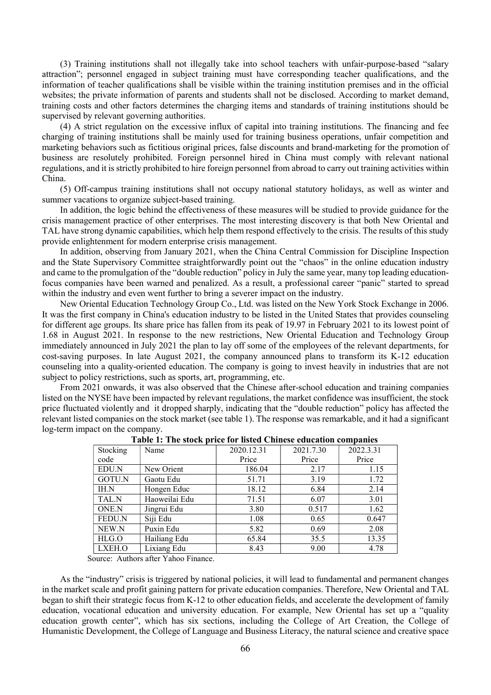(3) Training institutions shall not illegally take into school teachers with unfair-purpose-based "salary attraction"; personnel engaged in subject training must have corresponding teacher qualifications, and the information of teacher qualifications shall be visible within the training institution premises and in the official websites; the private information of parents and students shall not be disclosed. According to market demand, training costs and other factors determines the charging items and standards of training institutions should be supervised by relevant governing authorities.

(4) A strict regulation on the excessive influx of capital into training institutions. The financing and fee charging of training institutions shall be mainly used for training business operations, unfair competition and marketing behaviors such as fictitious original prices, false discounts and brand-marketing for the promotion of business are resolutely prohibited. Foreign personnel hired in China must comply with relevant national regulations, and it is strictly prohibited to hire foreign personnel from abroad to carry out training activities within China.

(5) Off-campus training institutions shall not occupy national statutory holidays, as well as winter and summer vacations to organize subject-based training.

In addition, the logic behind the effectiveness of these measures will be studied to provide guidance for the crisis management practice of other enterprises. The most interesting discovery is that both New Oriental and TAL have strong dynamic capabilities, which help them respond effectively to the crisis. The results of this study provide enlightenment for modern enterprise crisis management.

In addition, observing from January 2021, when the China Central Commission for Discipline Inspection and the State Supervisory Committee straightforwardly point out the "chaos" in the online education industry and came to the promulgation of the "double reduction" policy in July the same year, many top leading educationfocus companies have been warned and penalized. As a result, a professional career "panic" started to spread within the industry and even went further to bring a severer impact on the industry.

New Oriental Education Technology Group Co., Ltd. was listed on the New York Stock Exchange in 2006. It was the first company in China's education industry to be listed in the United States that provides counseling for different age groups. Its share price has fallen from its peak of 19.97 in February 2021 to its lowest point of 1.68 in August 2021. In response to the new restrictions, New Oriental Education and Technology Group immediately announced in July 2021 the plan to lay off some of the employees of the relevant departments, for cost-saving purposes. In late August 2021, the company announced plans to transform its K-12 education counseling into a quality-oriented education. The company is going to invest heavily in industries that are not subject to policy restrictions, such as sports, art, programming, etc.

From 2021 onwards, it was also observed that the Chinese after-school education and training companies listed on the NYSE have been impacted by relevant regulations, the market confidence was insufficient, the stock price fluctuated violently and it dropped sharply, indicating that the "double reduction" policy has affected the relevant listed companies on the stock market (see table 1). The response was remarkable, and it had a significant log-term impact on the company.

| Stocking      | Name          | 2020.12.31 | 2021.7.30 | 2022.3.31 |
|---------------|---------------|------------|-----------|-----------|
| code          |               | Price      | Price     | Price     |
| EDU.N         | New Orient    | 186.04     | 2.17      | 1.15      |
| GOTU.N        | Gaotu Edu     | 51.71      | 3.19      | 1.72      |
| IH.N          | Hongen Educ   | 18.12      | 6.84      | 2.14      |
| TAL.N         | Haoweilai Edu | 71.51      | 6.07      | 3.01      |
| ONE.N         | Jingrui Edu   | 3.80       | 0.517     | 1.62      |
| <b>FEDU.N</b> | Siji Edu      | 1.08       | 0.65      | 0.647     |
| NEW.N         | Puxin Edu     | 5.82       | 0.69      | 2.08      |
| HLG.O         | Hailiang Edu  | 65.84      | 35.5      | 13.35     |
| LXEH.O        | Lixiang Edu   | 8.43       | 9.00      | 4.78      |

Table 1: The stock price for listed Chinese education companies

Source: Authors after Yahoo Finance.

As the "industry" crisis is triggered by national policies, it will lead to fundamental and permanent changes in the market scale and profit gaining pattern for private education companies. Therefore, New Oriental and TAL began to shift their strategic focus from K-12 to other education fields, and accelerate the development of family education, vocational education and university education. For example, New Oriental has set up a "quality education growth center", which has six sections, including the College of Art Creation, the College of Humanistic Development, the College of Language and Business Literacy, the natural science and creative space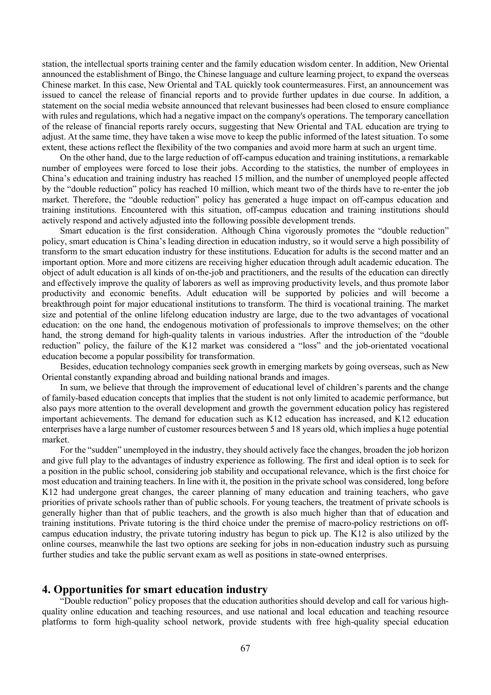station, the intellectual sports training center and the family education wisdom center. In addition, New Oriental announced the establishment of Bingo, the Chinese language and culture learning project, to expand the overseas Chinese market. In this case, New Oriental and TAL quickly took countermeasures. First, an announcement was issued to cancel the release of financial reports and to provide further updates in due course. In addition, a statement on the social media website announced that relevant businesses had been closed to ensure compliance with rules and regulations, which had a negative impact on the company's operations. The temporary cancellation of the release of financial reports rarely occurs, suggesting that New Oriental and TAL education are trying to adjust. At the same time, they have taken a wise move to keep the public informed of the latest situation. To some extent, these actions reflect the flexibility of the two companies and avoid more harm at such an urgent time.

On the other hand, due to the large reduction of off-campus education and training institutions, a remarkable number of employees were forced to lose their jobs. According to the statistics, the number of employees in China's education and training industry has reached 15 million, and the number of unemployed people affected by the "double reduction" policy has reached 10 million, which meant two of the thirds have to re-enter the job market. Therefore, the "double reduction" policy has generated a huge impact on off-campus education and training institutions. Encountered with this situation, off-campus education and training institutions should actively respond and actively adjusted into the following possible development trends.

Smart education is the first consideration. Although China vigorously promotes the "double reduction" policy, smart education is China's leading direction in education industry, so it would serve a high possibility of transform to the smart education industry for these institutions. Education for adults is the second matter and an important option. More and more citizens are receiving higher education through adult academic education. The object of adult education is all kinds of on-the-job and practitioners, and the results of the education can directly and effectively improve the quality of laborers as well as improving productivity levels, and thus promote labor productivity and economic benefits. Adult education will be supported by policies and will become a breakthrough point for major educational institutions to transform. The third is vocational training. The market size and potential of the online lifelong education industry are large, due to the two advantages of vocational education: on the one hand, the endogenous motivation of professionals to improve themselves; on the other hand, the strong demand for high-quality talents in various industries. After the introduction of the "double reduction" policy, the failure of the K12 market was considered a "loss" and the job-orientated vocational education become a popular possibility for transformation.

Besides, education technology companies seek growth in emerging markets by going overseas, such as New Oriental constantly expanding abroad and building national brands and images.

In sum, we believe that through the improvement of educational level of children's parents and the change of family-based education concepts that implies that the student is not only limited to academic performance, but also pays more attention to the overall development and growth the government education policy has registered important achievements. The demand for education such as K12 education has increased, and K12 education enterprises have a large number of customer resources between 5 and 18 years old, which implies a huge potential market.

For the "sudden" unemployed in the industry, they should actively face the changes, broaden the job horizon and give full play to the advantages of industry experience as following. The first and ideal option is to seek for a position in the public school, considering job stability and occupational relevance, which is the first choice for most education and training teachers. In line with it, the position in the private school was considered, long before K12 had undergone great changes, the career planning of many education and training teachers, who gave priorities of private schools rather than of public schools. For young teachers, the treatment of private schools is generally higher than that of public teachers, and the growth is also much higher than that of education and training institutions. Private tutoring is the third choice under the premise of macro-policy restrictions on offcampus education industry, the private tutoring industry has begun to pick up. The K12 is also utilized by the online courses, meanwhile the last two options are seeking for jobs in non-education industry such as pursuing further studies and take the public servant exam as well as positions in state-owned enterprises.

#### 4. Opportunities for smart education industry

"Double reduction" policy proposes that the education authorities should develop and call for various highquality online education and teaching resources, and use national and local education and teaching resource platforms to form high-quality school network, provide students with free high-quality special education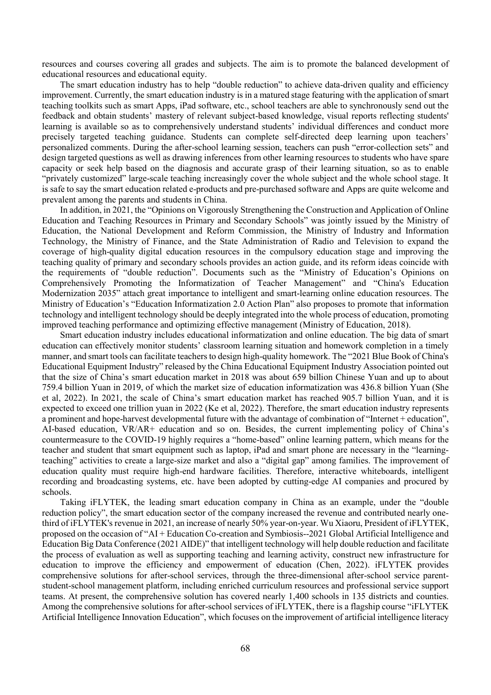resources and courses covering all grades and subjects. The aim is to promote the balanced development of educational resources and educational equity.

The smart education industry has to help "double reduction" to achieve data-driven quality and efficiency improvement. Currently, the smart education industry is in a matured stage featuring with the application of smart teaching toolkits such as smart Apps, iPad software, etc., school teachers are able to synchronously send out the feedback and obtain students' mastery of relevant subject-based knowledge, visual reports reflecting students' learning is available so as to comprehensively understand students' individual differences and conduct more precisely targeted teaching guidance. Students can complete self-directed deep learning upon teachers' personalized comments. During the after-school learning session, teachers can push "error-collection sets" and design targeted questions as well as drawing inferences from other learning resources to students who have spare capacity or seek help based on the diagnosis and accurate grasp of their learning situation, so as to enable "privately customized" large-scale teaching increasingly cover the whole subject and the whole school stage. It is safe to say the smart education related e-products and pre-purchased software and Apps are quite welcome and prevalent among the parents and students in China.

In addition, in 2021, the "Opinions on Vigorously Strengthening the Construction and Application of Online Education and Teaching Resources in Primary and Secondary Schools" was jointly issued by the Ministry of Education, the National Development and Reform Commission, the Ministry of Industry and Information Technology, the Ministry of Finance, and the State Administration of Radio and Television to expand the coverage of high-quality digital education resources in the compulsory education stage and improving the teaching quality of primary and secondary schools provides an action guide, and its reform ideas coincide with the requirements of "double reduction". Documents such as the "Ministry of Education's Opinions on Comprehensively Promoting the Informatization of Teacher Management" and "China's Education Modernization 2035" attach great importance to intelligent and smart-learning online education resources. The Ministry of Education's "Education Informatization 2.0 Action Plan" also proposes to promote that information technology and intelligent technology should be deeply integrated into the whole process of education, promoting improved teaching performance and optimizing effective management (Ministry of Education, 2018).

Smart education industry includes educational informatization and online education. The big data of smart education can effectively monitor students' classroom learning situation and homework completion in a timely manner, and smart tools can facilitate teachers to design high-quality homework. The "2021 Blue Book of China's Educational Equipment Industry" released by the China Educational Equipment Industry Association pointed out that the size of China's smart education market in 2018 was about 659 billion Chinese Yuan and up to about 759.4 billion Yuan in 2019, of which the market size of education informatization was 436.8 billion Yuan (She et al, 2022). In 2021, the scale of China's smart education market has reached 905.7 billion Yuan, and it is expected to exceed one trillion yuan in 2022 (Ke et al, 2022). Therefore, the smart education industry represents a prominent and hope-harvest developmental future with the advantage of combination of "Internet + education", AI-based education, VR/AR+ education and so on. Besides, the current implementing policy of China's countermeasure to the COVID-19 highly requires a "home-based" online learning pattern, which means for the teacher and student that smart equipment such as laptop, iPad and smart phone are necessary in the "learningteaching" activities to create a large-size market and also a "digital gap" among families. The improvement of education quality must require high-end hardware facilities. Therefore, interactive whiteboards, intelligent recording and broadcasting systems, etc. have been adopted by cutting-edge AI companies and procured by schools.

Taking iFLYTEK, the leading smart education company in China as an example, under the "double reduction policy", the smart education sector of the company increased the revenue and contributed nearly onethird of iFLYTEK's revenue in 2021, an increase of nearly 50% year-on-year. Wu Xiaoru, President of iFLYTEK, proposed on the occasion of "AI + Education Co-creation and Symbiosis--2021 Global Artificial Intelligence and Education Big Data Conference (2021 AIDE)" that intelligent technology will help double reduction and facilitate the process of evaluation as well as supporting teaching and learning activity, construct new infrastructure for education to improve the efficiency and empowerment of education (Chen, 2022). iFLYTEK provides comprehensive solutions for after-school services, through the three-dimensional after-school service parentstudent-school management platform, including enriched curriculum resources and professional service support teams. At present, the comprehensive solution has covered nearly 1,400 schools in 135 districts and counties. Among the comprehensive solutions for after-school services of iFLYTEK, there is a flagship course "iFLYTEK Artificial Intelligence Innovation Education", which focuses on the improvement of artificial intelligence literacy